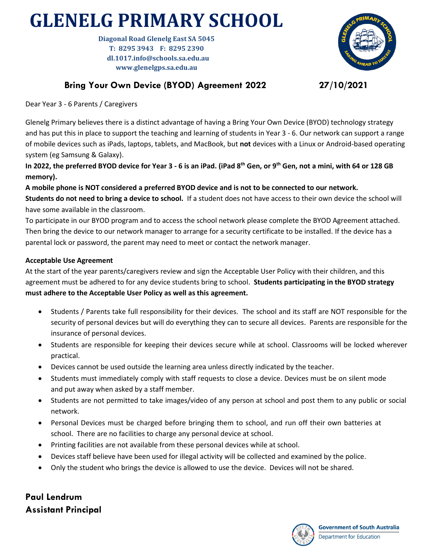## **GLENELG PRIMARY SCHOOL**

**Diagonal Road Glenelg East SA 5045 T: 8295 3943 F: 8295 2390 dl.1017.info@schools.sa.edu.au www.glenelgps.sa.edu.au**



## **Bring Your Own Device (BYOD) Agreement 2022 27/10/2021**

Dear Year 3 - 6 Parents / Caregivers

Glenelg Primary believes there is a distinct advantage of having a Bring Your Own Device (BYOD) technology strategy and has put this in place to support the teaching and learning of students in Year 3 - 6. Our network can support a range of mobile devices such as iPads, laptops, tablets, and MacBook, but **not** devices with a Linux or Android-based operating system (eg Samsung & Galaxy).

**In 2022, the preferred BYOD device for Year 3 - 6 is an iPad. (iPad 8 th Gen, or 9th Gen, not a mini, with 64 or 128 GB memory).** 

**A mobile phone is NOT considered a preferred BYOD device and is not to be connected to our network. Students do not need to bring a device to school.** If a student does not have access to their own device the school will have some available in the classroom.

To participate in our BYOD program and to access the school network please complete the BYOD Agreement attached. Then bring the device to our network manager to arrange for a security certificate to be installed. If the device has a parental lock or password, the parent may need to meet or contact the network manager.

## **Acceptable Use Agreement**

At the start of the year parents/caregivers review and sign the Acceptable User Policy with their children, and this agreement must be adhered to for any device students bring to school. **Students participating in the BYOD strategy must adhere to the Acceptable User Policy as well as this agreement.**

- Students / Parents take full responsibility for their devices. The school and its staff are NOT responsible for the security of personal devices but will do everything they can to secure all devices. Parents are responsible for the insurance of personal devices.
- Students are responsible for keeping their devices secure while at school. Classrooms will be locked wherever practical.
- Devices cannot be used outside the learning area unless directly indicated by the teacher.
- Students must immediately comply with staff requests to close a device. Devices must be on silent mode and put away when asked by a staff member.
- Students are not permitted to take images/video of any person at school and post them to any public or social network.
- Personal Devices must be charged before bringing them to school, and run off their own batteries at school. There are no facilities to charge any personal device at school.
- Printing facilities are not available from these personal devices while at school.
- Devices staff believe have been used for illegal activity will be collected and examined by the police.
- Only the student who brings the device is allowed to use the device. Devices will not be shared.

**Paul Lendrum Assistant Principal**